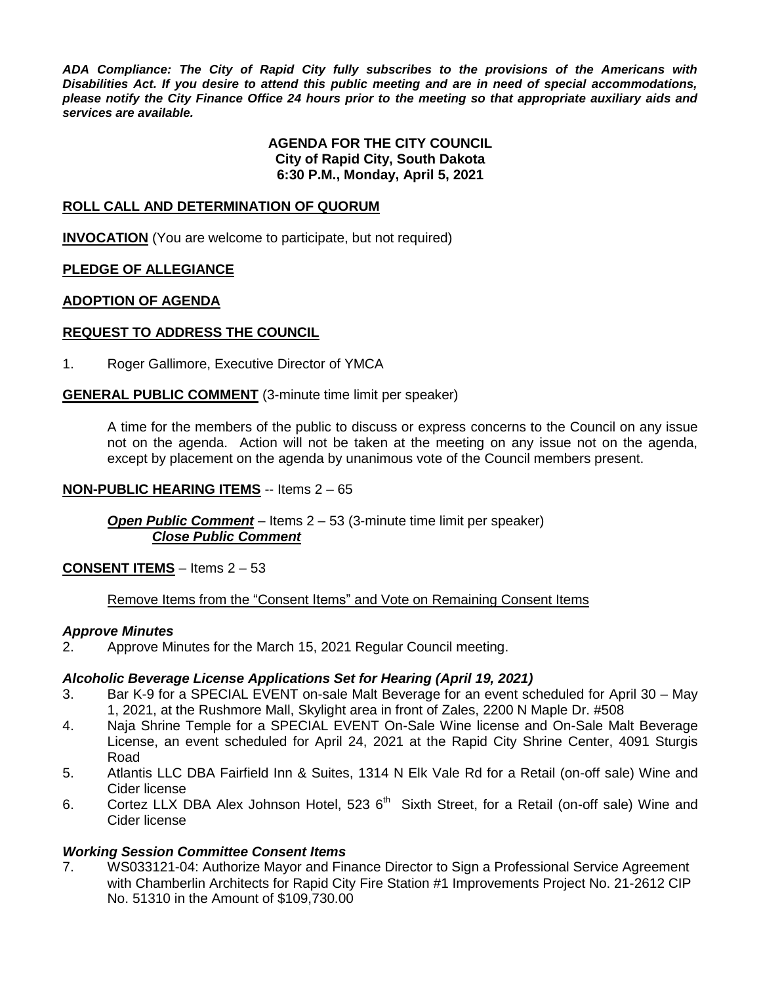*ADA Compliance: The City of Rapid City fully subscribes to the provisions of the Americans with Disabilities Act. If you desire to attend this public meeting and are in need of special accommodations, please notify the City Finance Office 24 hours prior to the meeting so that appropriate auxiliary aids and services are available.*

#### **AGENDA FOR THE CITY COUNCIL City of Rapid City, South Dakota 6:30 P.M., Monday, April 5, 2021**

### **ROLL CALL AND DETERMINATION OF QUORUM**

**INVOCATION** (You are welcome to participate, but not required)

### **PLEDGE OF ALLEGIANCE**

#### **ADOPTION OF AGENDA**

### **REQUEST TO ADDRESS THE COUNCIL**

1. Roger Gallimore, Executive Director of YMCA

### **GENERAL PUBLIC COMMENT** (3-minute time limit per speaker)

A time for the members of the public to discuss or express concerns to the Council on any issue not on the agenda. Action will not be taken at the meeting on any issue not on the agenda, except by placement on the agenda by unanimous vote of the Council members present.

#### **NON-PUBLIC HEARING ITEMS** -- Items 2 – 65

*Open Public Comment* – Items 2 – 53 (3-minute time limit per speaker) *Close Public Comment*

#### **CONSENT ITEMS** – Items 2 – 53

#### Remove Items from the "Consent Items" and Vote on Remaining Consent Items

#### *Approve Minutes*

2. Approve Minutes for the March 15, 2021 Regular Council meeting.

#### *Alcoholic Beverage License Applications Set for Hearing (April 19, 2021)*

- 3. Bar K-9 for a SPECIAL EVENT on-sale Malt Beverage for an event scheduled for April 30 May 1, 2021, at the Rushmore Mall, Skylight area in front of Zales, 2200 N Maple Dr. #508
- 4. Naja Shrine Temple for a SPECIAL EVENT On-Sale Wine license and On-Sale Malt Beverage License, an event scheduled for April 24, 2021 at the Rapid City Shrine Center, 4091 Sturgis Road
- 5. Atlantis LLC DBA Fairfield Inn & Suites, 1314 N Elk Vale Rd for a Retail (on-off sale) Wine and Cider license
- 6. Cortez LLX DBA Alex Johnson Hotel, 523  $6<sup>th</sup>$  Sixth Street, for a Retail (on-off sale) Wine and Cider license

#### *Working Session Committee Consent Items*

7. WS033121-04: Authorize Mayor and Finance Director to Sign a Professional Service Agreement with Chamberlin Architects for Rapid City Fire Station #1 Improvements Project No. 21-2612 CIP No. 51310 in the Amount of \$109,730.00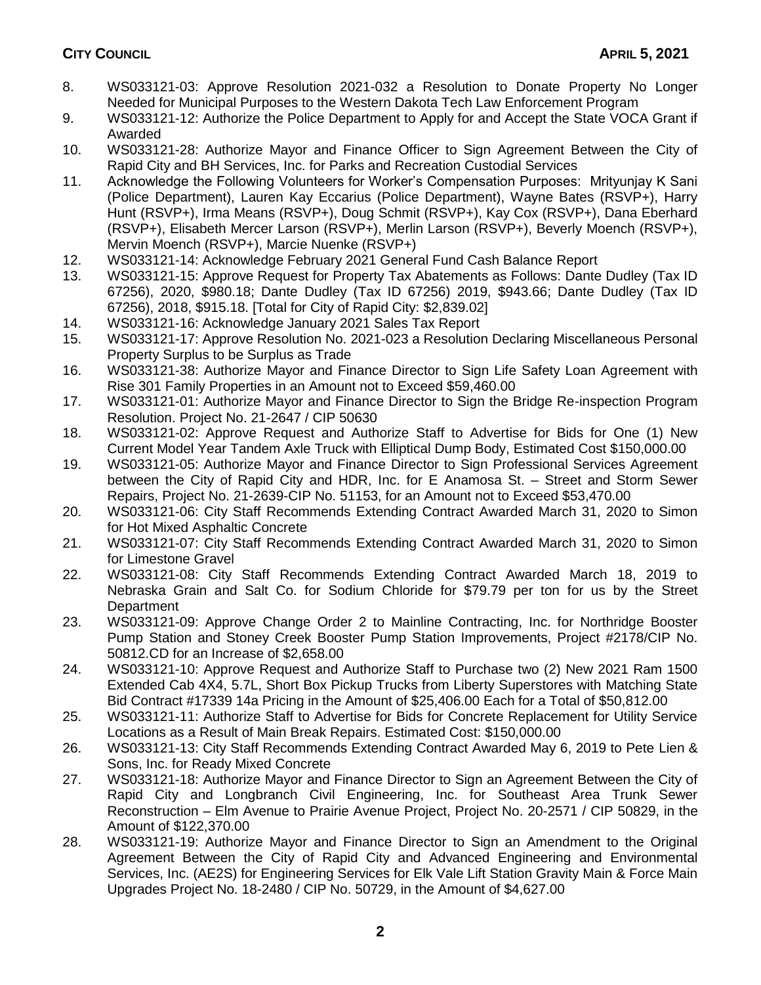- 8. WS033121-03: Approve Resolution 2021-032 a Resolution to Donate Property No Longer Needed for Municipal Purposes to the Western Dakota Tech Law Enforcement Program
- 9. WS033121-12: Authorize the Police Department to Apply for and Accept the State VOCA Grant if Awarded
- 10. WS033121-28: Authorize Mayor and Finance Officer to Sign Agreement Between the City of Rapid City and BH Services, Inc. for Parks and Recreation Custodial Services
- 11. Acknowledge the Following Volunteers for Worker's Compensation Purposes: Mrityunjay K Sani (Police Department), Lauren Kay Eccarius (Police Department), Wayne Bates (RSVP+), Harry Hunt (RSVP+), Irma Means (RSVP+), Doug Schmit (RSVP+), Kay Cox (RSVP+), Dana Eberhard (RSVP+), Elisabeth Mercer Larson (RSVP+), Merlin Larson (RSVP+), Beverly Moench (RSVP+), Mervin Moench (RSVP+), Marcie Nuenke (RSVP+)
- 12. WS033121-14: Acknowledge February 2021 General Fund Cash Balance Report
- 13. WS033121-15: Approve Request for Property Tax Abatements as Follows: Dante Dudley (Tax ID 67256), 2020, \$980.18; Dante Dudley (Tax ID 67256) 2019, \$943.66; Dante Dudley (Tax ID 67256), 2018, \$915.18. [Total for City of Rapid City: \$2,839.02]
- 14. WS033121-16: Acknowledge January 2021 Sales Tax Report
- 15. WS033121-17: Approve Resolution No. 2021-023 a Resolution Declaring Miscellaneous Personal Property Surplus to be Surplus as Trade
- 16. WS033121-38: Authorize Mayor and Finance Director to Sign Life Safety Loan Agreement with Rise 301 Family Properties in an Amount not to Exceed \$59,460.00
- 17. WS033121-01: Authorize Mayor and Finance Director to Sign the Bridge Re-inspection Program Resolution. Project No. 21-2647 / CIP 50630
- 18. WS033121-02: Approve Request and Authorize Staff to Advertise for Bids for One (1) New Current Model Year Tandem Axle Truck with Elliptical Dump Body, Estimated Cost \$150,000.00
- 19. WS033121-05: Authorize Mayor and Finance Director to Sign Professional Services Agreement between the City of Rapid City and HDR, Inc. for E Anamosa St. – Street and Storm Sewer Repairs, Project No. 21-2639-CIP No. 51153, for an Amount not to Exceed \$53,470.00
- 20. WS033121-06: City Staff Recommends Extending Contract Awarded March 31, 2020 to Simon for Hot Mixed Asphaltic Concrete
- 21. WS033121-07: City Staff Recommends Extending Contract Awarded March 31, 2020 to Simon for Limestone Gravel
- 22. WS033121-08: City Staff Recommends Extending Contract Awarded March 18, 2019 to Nebraska Grain and Salt Co. for Sodium Chloride for \$79.79 per ton for us by the Street **Department**
- 23. WS033121-09: Approve Change Order 2 to Mainline Contracting, Inc. for Northridge Booster Pump Station and Stoney Creek Booster Pump Station Improvements, Project #2178/CIP No. 50812.CD for an Increase of \$2,658.00
- 24. WS033121-10: Approve Request and Authorize Staff to Purchase two (2) New 2021 Ram 1500 Extended Cab 4X4, 5.7L, Short Box Pickup Trucks from Liberty Superstores with Matching State Bid Contract #17339 14a Pricing in the Amount of \$25,406.00 Each for a Total of \$50,812.00
- 25. WS033121-11: Authorize Staff to Advertise for Bids for Concrete Replacement for Utility Service Locations as a Result of Main Break Repairs. Estimated Cost: \$150,000.00
- 26. WS033121-13: City Staff Recommends Extending Contract Awarded May 6, 2019 to Pete Lien & Sons, Inc. for Ready Mixed Concrete
- 27. WS033121-18: Authorize Mayor and Finance Director to Sign an Agreement Between the City of Rapid City and Longbranch Civil Engineering, Inc. for Southeast Area Trunk Sewer Reconstruction – Elm Avenue to Prairie Avenue Project, Project No. 20-2571 / CIP 50829, in the Amount of \$122,370.00
- 28. WS033121-19: Authorize Mayor and Finance Director to Sign an Amendment to the Original Agreement Between the City of Rapid City and Advanced Engineering and Environmental Services, Inc. (AE2S) for Engineering Services for Elk Vale Lift Station Gravity Main & Force Main Upgrades Project No. 18-2480 / CIP No. 50729, in the Amount of \$4,627.00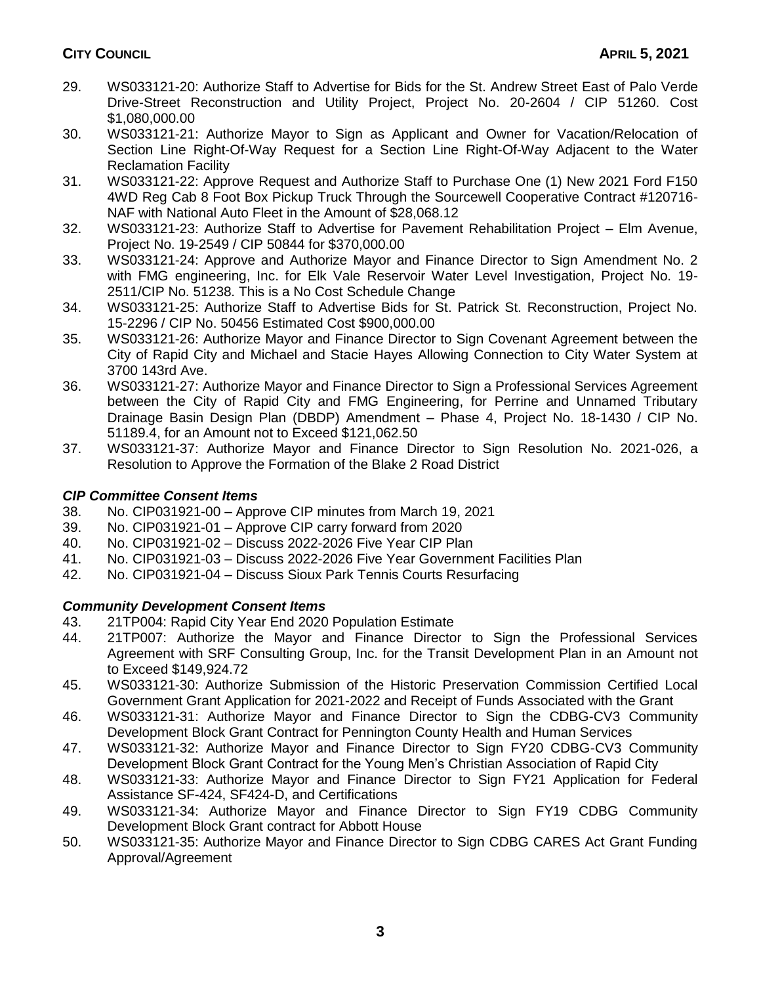- 29. WS033121-20: Authorize Staff to Advertise for Bids for the St. Andrew Street East of Palo Verde Drive-Street Reconstruction and Utility Project, Project No. 20-2604 / CIP 51260. Cost \$1,080,000.00
- 30. WS033121-21: Authorize Mayor to Sign as Applicant and Owner for Vacation/Relocation of Section Line Right-Of-Way Request for a Section Line Right-Of-Way Adjacent to the Water Reclamation Facility
- 31. WS033121-22: Approve Request and Authorize Staff to Purchase One (1) New 2021 Ford F150 4WD Reg Cab 8 Foot Box Pickup Truck Through the Sourcewell Cooperative Contract #120716- NAF with National Auto Fleet in the Amount of \$28,068.12
- 32. WS033121-23: Authorize Staff to Advertise for Pavement Rehabilitation Project Elm Avenue, Project No. 19-2549 / CIP 50844 for \$370,000.00
- 33. WS033121-24: Approve and Authorize Mayor and Finance Director to Sign Amendment No. 2 with FMG engineering, Inc. for Elk Vale Reservoir Water Level Investigation, Project No. 19- 2511/CIP No. 51238. This is a No Cost Schedule Change
- 34. WS033121-25: Authorize Staff to Advertise Bids for St. Patrick St. Reconstruction, Project No. 15-2296 / CIP No. 50456 Estimated Cost \$900,000.00
- 35. WS033121-26: Authorize Mayor and Finance Director to Sign Covenant Agreement between the City of Rapid City and Michael and Stacie Hayes Allowing Connection to City Water System at 3700 143rd Ave.
- 36. WS033121-27: Authorize Mayor and Finance Director to Sign a Professional Services Agreement between the City of Rapid City and FMG Engineering, for Perrine and Unnamed Tributary Drainage Basin Design Plan (DBDP) Amendment – Phase 4, Project No. 18-1430 / CIP No. 51189.4, for an Amount not to Exceed \$121,062.50
- 37. WS033121-37: Authorize Mayor and Finance Director to Sign Resolution No. 2021-026, a Resolution to Approve the Formation of the Blake 2 Road District

# *CIP Committee Consent Items*

- 38. No. CIP031921-00 Approve CIP minutes from March 19, 2021
- 39. No. CIP031921-01 Approve CIP carry forward from 2020
- 40. No. CIP031921-02 Discuss 2022-2026 Five Year CIP Plan
- 41. No. CIP031921-03 Discuss 2022-2026 Five Year Government Facilities Plan
- 42. No. CIP031921-04 Discuss Sioux Park Tennis Courts Resurfacing

# *Community Development Consent Items*

- 43. 21TP004: Rapid City Year End 2020 Population Estimate
- 44. 21TP007: Authorize the Mayor and Finance Director to Sign the Professional Services Agreement with SRF Consulting Group, Inc. for the Transit Development Plan in an Amount not to Exceed \$149,924.72
- 45. WS033121-30: Authorize Submission of the Historic Preservation Commission Certified Local Government Grant Application for 2021-2022 and Receipt of Funds Associated with the Grant
- 46. WS033121-31: Authorize Mayor and Finance Director to Sign the CDBG-CV3 Community Development Block Grant Contract for Pennington County Health and Human Services
- 47. WS033121-32: Authorize Mayor and Finance Director to Sign FY20 CDBG-CV3 Community Development Block Grant Contract for the Young Men's Christian Association of Rapid City
- 48. WS033121-33: Authorize Mayor and Finance Director to Sign FY21 Application for Federal Assistance SF-424, SF424-D, and Certifications
- 49. WS033121-34: Authorize Mayor and Finance Director to Sign FY19 CDBG Community Development Block Grant contract for Abbott House
- 50. WS033121-35: Authorize Mayor and Finance Director to Sign CDBG CARES Act Grant Funding Approval/Agreement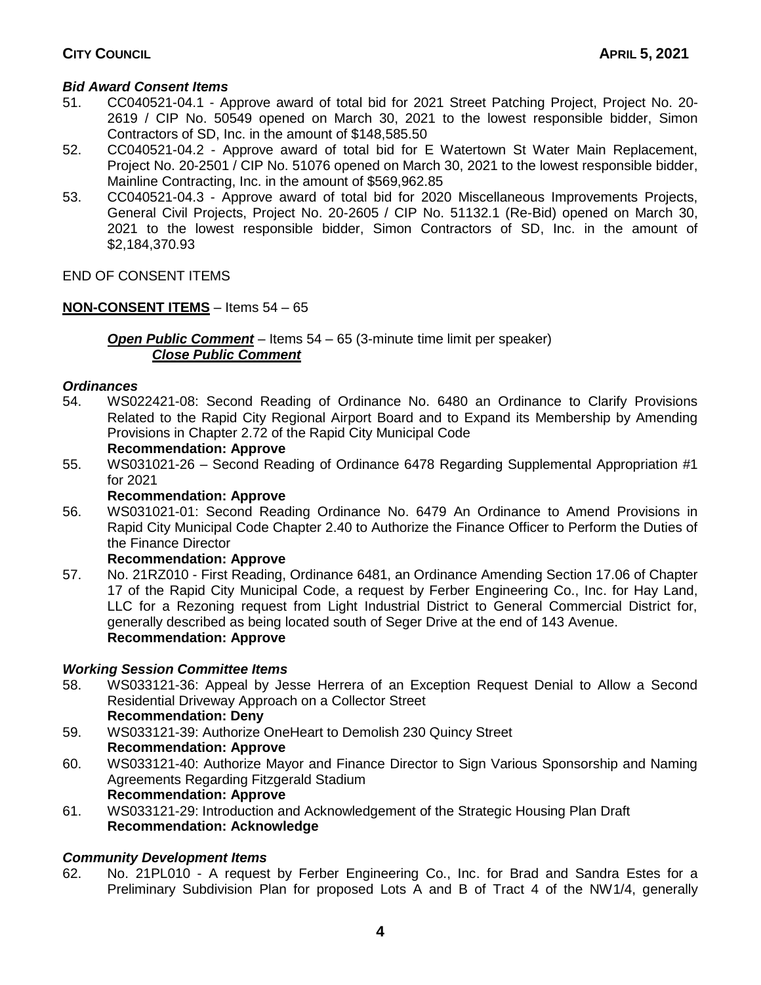# **CITY COUNCIL APRIL 5, 2021**

## *Bid Award Consent Items*

- 51. CC040521-04.1 Approve award of total bid for 2021 Street Patching Project, Project No. 20- 2619 / CIP No. 50549 opened on March 30, 2021 to the lowest responsible bidder, Simon Contractors of SD, Inc. in the amount of \$148,585.50
- 52. CC040521-04.2 Approve award of total bid for E Watertown St Water Main Replacement, Project No. 20-2501 / CIP No. 51076 opened on March 30, 2021 to the lowest responsible bidder, Mainline Contracting, Inc. in the amount of \$569,962.85
- 53. CC040521-04.3 Approve award of total bid for 2020 Miscellaneous Improvements Projects, General Civil Projects, Project No. 20-2605 / CIP No. 51132.1 (Re-Bid) opened on March 30, 2021 to the lowest responsible bidder, Simon Contractors of SD, Inc. in the amount of \$2,184,370.93

END OF CONSENT ITEMS

## **NON-CONSENT ITEMS** – Items 54 – 65

*Open Public Comment* – Items 54 – 65 (3-minute time limit per speaker) *Close Public Comment*

### *Ordinances*

54. WS022421-08: Second Reading of Ordinance No. 6480 an Ordinance to Clarify Provisions Related to the Rapid City Regional Airport Board and to Expand its Membership by Amending Provisions in Chapter 2.72 of the Rapid City Municipal Code

### **Recommendation: Approve**

55. WS031021-26 – Second Reading of Ordinance 6478 Regarding Supplemental Appropriation #1 for 2021

#### **Recommendation: Approve**

56. WS031021-01: Second Reading Ordinance No. 6479 An Ordinance to Amend Provisions in Rapid City Municipal Code Chapter 2.40 to Authorize the Finance Officer to Perform the Duties of the Finance Director

#### **Recommendation: Approve**

57. No. 21RZ010 - First Reading, Ordinance 6481, an Ordinance Amending Section 17.06 of Chapter 17 of the Rapid City Municipal Code, a request by Ferber Engineering Co., Inc. for Hay Land, LLC for a Rezoning request from Light Industrial District to General Commercial District for, generally described as being located south of Seger Drive at the end of 143 Avenue. **Recommendation: Approve**

## *Working Session Committee Items*

- 58. WS033121-36: Appeal by Jesse Herrera of an Exception Request Denial to Allow a Second Residential Driveway Approach on a Collector Street **Recommendation: Deny**
- 59. WS033121-39: Authorize OneHeart to Demolish 230 Quincy Street **Recommendation: Approve**
- 60. WS033121-40: Authorize Mayor and Finance Director to Sign Various Sponsorship and Naming Agreements Regarding Fitzgerald Stadium **Recommendation: Approve**
- 61. WS033121-29: Introduction and Acknowledgement of the Strategic Housing Plan Draft **Recommendation: Acknowledge**

## *Community Development Items*

62. No. 21PL010 - A request by Ferber Engineering Co., Inc. for Brad and Sandra Estes for a Preliminary Subdivision Plan for proposed Lots A and B of Tract 4 of the NW1/4, generally